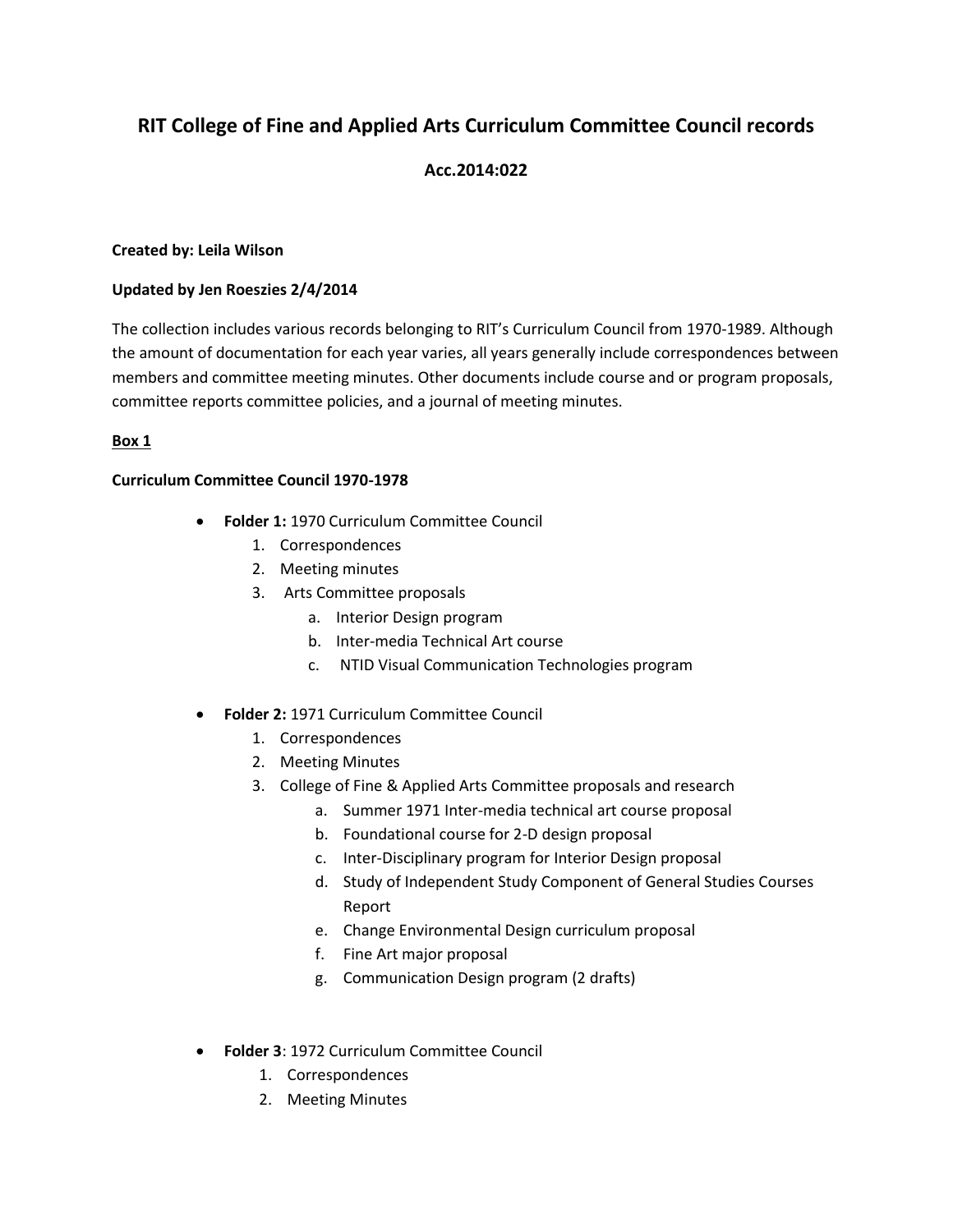# **RIT College of Fine and Applied Arts Curriculum Committee Council records**

## **Acc.2014:022**

## **Created by: Leila Wilson**

## **Updated by Jen Roeszies 2/4/2014**

The collection includes various records belonging to RIT's Curriculum Council from 1970-1989. Although the amount of documentation for each year varies, all years generally include correspondences between members and committee meeting minutes. Other documents include course and or program proposals, committee reports committee policies, and a journal of meeting minutes.

## **Box 1**

## **Curriculum Committee Council 1970-1978**

- **Folder 1:** 1970 Curriculum Committee Council
	- 1. Correspondences
	- 2. Meeting minutes
	- 3. Arts Committee proposals
		- a. Interior Design program
		- b. Inter-media Technical Art course
		- c. NTID Visual Communication Technologies program
	- **Folder 2:** 1971 Curriculum Committee Council
		- 1. Correspondences
		- 2. Meeting Minutes
		- 3. College of Fine & Applied Arts Committee proposals and research
			- a. Summer 1971 Inter-media technical art course proposal
			- b. Foundational course for 2-D design proposal
			- c. Inter-Disciplinary program for Interior Design proposal
			- d. Study of Independent Study Component of General Studies Courses Report
			- e. Change Environmental Design curriculum proposal
			- f. Fine Art major proposal
			- g. Communication Design program (2 drafts)
- **Folder 3**: 1972 Curriculum Committee Council
	- 1. Correspondences
	- 2. Meeting Minutes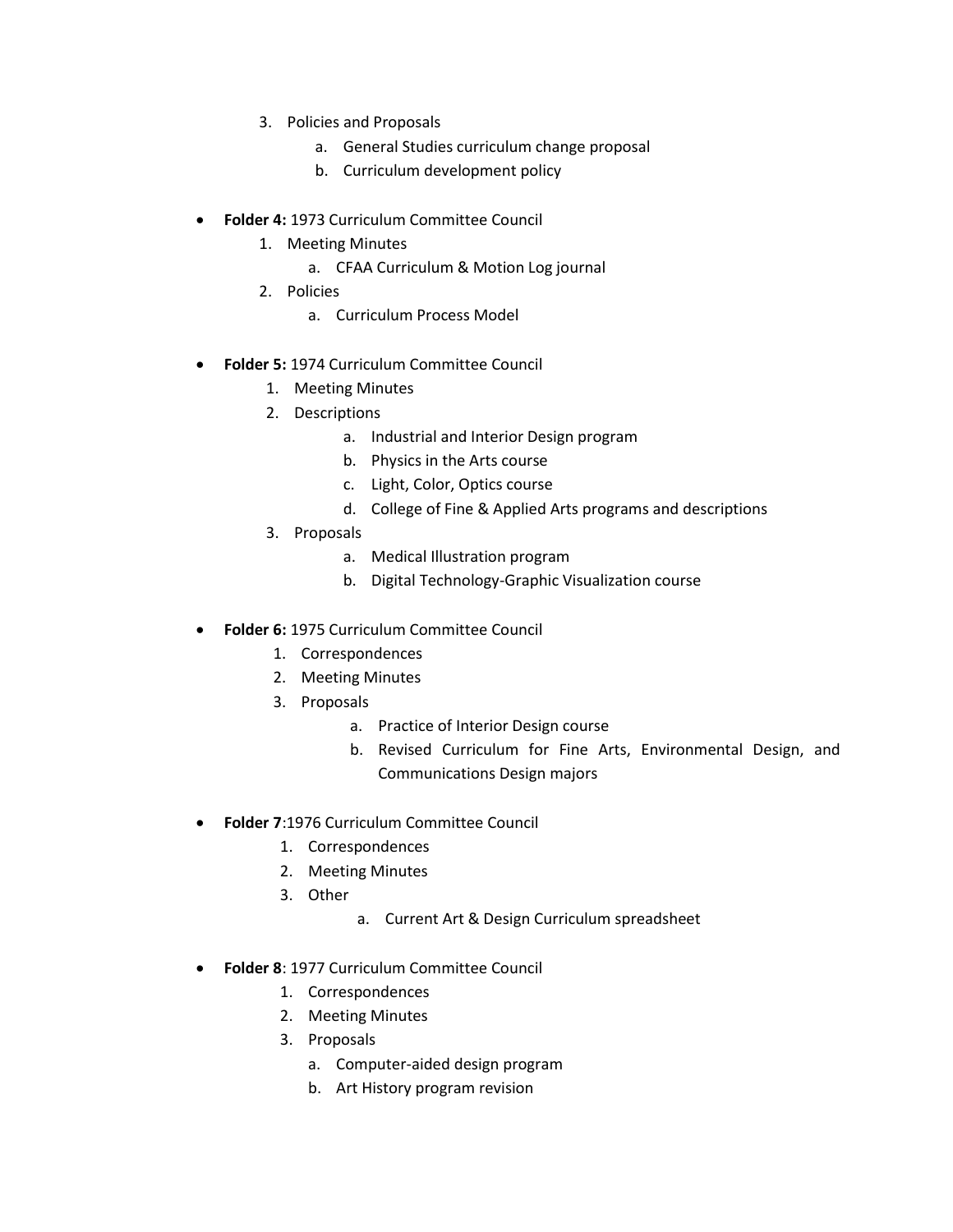- 3. Policies and Proposals
	- a. General Studies curriculum change proposal
	- b. Curriculum development policy
- **Folder 4:** 1973 Curriculum Committee Council
	- 1. Meeting Minutes
		- a. CFAA Curriculum & Motion Log journal
	- 2. Policies
		- a. Curriculum Process Model
- **Folder 5:** 1974 Curriculum Committee Council
	- 1. Meeting Minutes
	- 2. Descriptions
		- a. Industrial and Interior Design program
		- b. Physics in the Arts course
		- c. Light, Color, Optics course
		- d. College of Fine & Applied Arts programs and descriptions
	- 3. Proposals
		- a. Medical Illustration program
		- b. Digital Technology-Graphic Visualization course
- **Folder 6:** 1975 Curriculum Committee Council
	- 1. Correspondences
	- 2. Meeting Minutes
	- 3. Proposals
		- a. Practice of Interior Design course
		- b. Revised Curriculum for Fine Arts, Environmental Design, and Communications Design majors
- **Folder 7**:1976 Curriculum Committee Council
	- 1. Correspondences
	- 2. Meeting Minutes
	- 3. Other
- a. Current Art & Design Curriculum spreadsheet
- **Folder 8**: 1977 Curriculum Committee Council
	- 1. Correspondences
	- 2. Meeting Minutes
	- 3. Proposals
		- a. Computer-aided design program
		- b. Art History program revision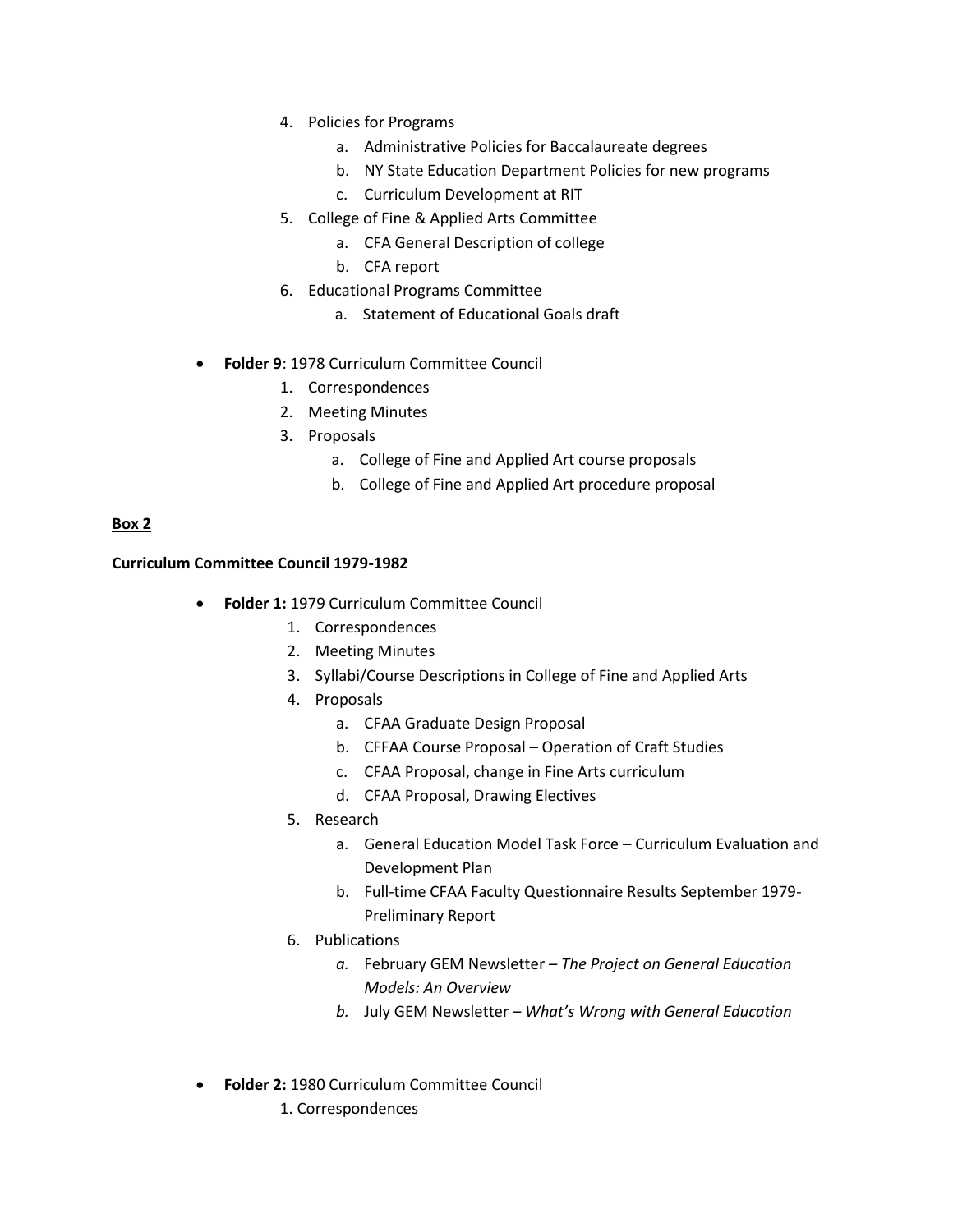- 4. Policies for Programs
	- a. Administrative Policies for Baccalaureate degrees
	- b. NY State Education Department Policies for new programs
	- c. Curriculum Development at RIT
- 5. College of Fine & Applied Arts Committee
	- a. CFA General Description of college
	- b. CFA report
- 6. Educational Programs Committee
	- a. Statement of Educational Goals draft
- **Folder 9**: 1978 Curriculum Committee Council
	- 1. Correspondences
	- 2. Meeting Minutes
	- 3. Proposals
		- a. College of Fine and Applied Art course proposals
		- b. College of Fine and Applied Art procedure proposal

## **Box 2**

#### **Curriculum Committee Council 1979-1982**

- **Folder 1:** 1979 Curriculum Committee Council
	- 1. Correspondences
	- 2. Meeting Minutes
	- 3. Syllabi/Course Descriptions in College of Fine and Applied Arts
	- 4. Proposals
		- a. CFAA Graduate Design Proposal
		- b. CFFAA Course Proposal Operation of Craft Studies
		- c. CFAA Proposal, change in Fine Arts curriculum
		- d. CFAA Proposal, Drawing Electives
	- 5. Research
		- a. General Education Model Task Force Curriculum Evaluation and Development Plan
		- b. Full-time CFAA Faculty Questionnaire Results September 1979- Preliminary Report
	- 6. Publications
		- *a.* February GEM Newsletter *– The Project on General Education Models: An Overview*
		- *b.* July GEM Newsletter *What's Wrong with General Education*
- **Folder 2:** 1980 Curriculum Committee Council
	- 1. Correspondences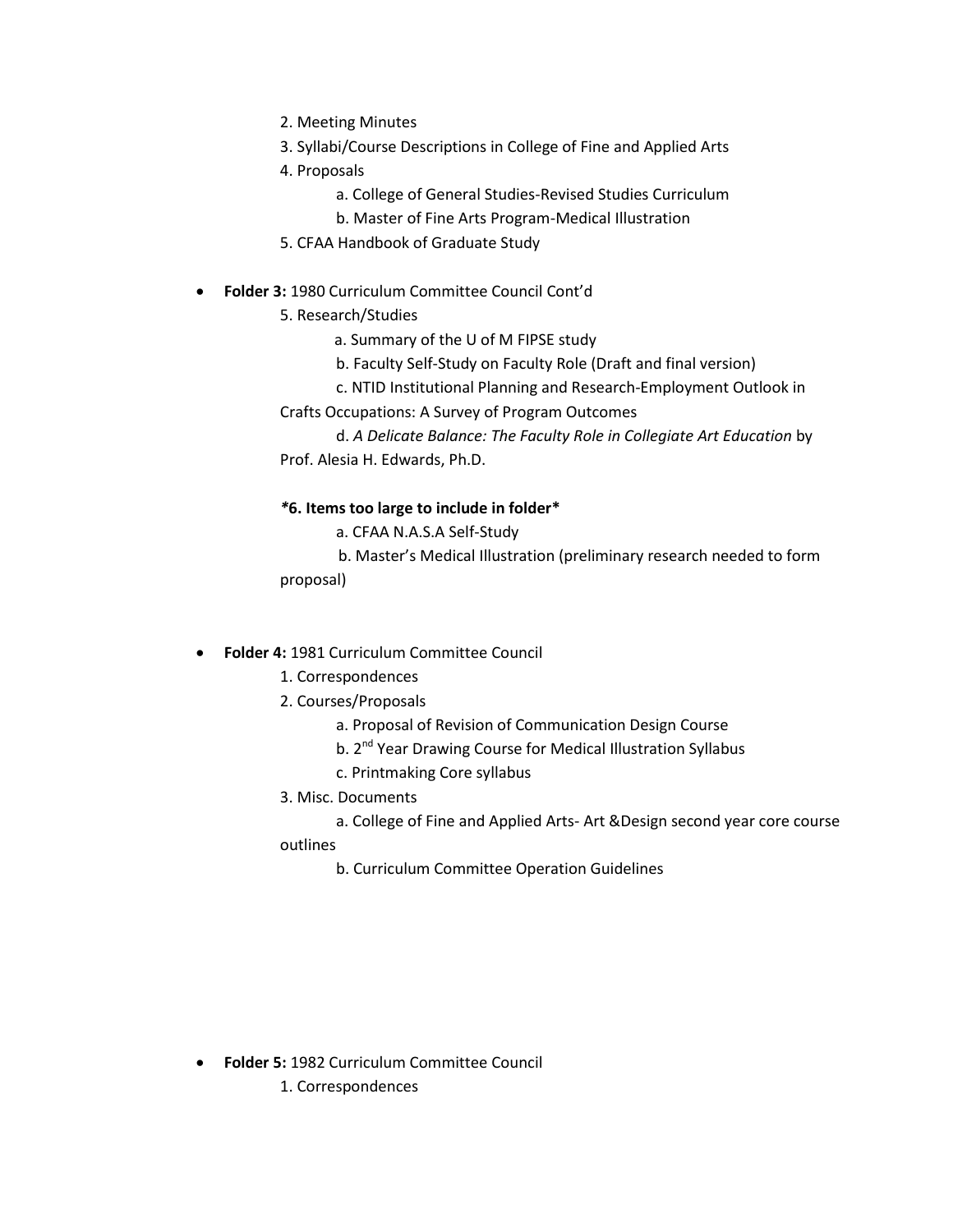- 2. Meeting Minutes
- 3. Syllabi/Course Descriptions in College of Fine and Applied Arts
- 4. Proposals
	- a. College of General Studies-Revised Studies Curriculum
	- b. Master of Fine Arts Program-Medical Illustration
- 5. CFAA Handbook of Graduate Study
- **Folder 3:** 1980 Curriculum Committee Council Cont'd
	- 5. Research/Studies
		- a. Summary of the U of M FIPSE study
		- b. Faculty Self-Study on Faculty Role (Draft and final version)
		- c. NTID Institutional Planning and Research-Employment Outlook in
	- Crafts Occupations: A Survey of Program Outcomes
	- d. *A Delicate Balance: The Faculty Role in Collegiate Art Education* by Prof. Alesia H. Edwards, Ph.D.

## *\****6. Items too large to include in folder\***

- a. CFAA N.A.S.A Self-Study
- b. Master's Medical Illustration (preliminary research needed to form proposal)
- **Folder 4:** 1981 Curriculum Committee Council
	- 1. Correspondences
	- 2. Courses/Proposals
		- a. Proposal of Revision of Communication Design Course
		- b. 2<sup>nd</sup> Year Drawing Course for Medical Illustration Syllabus
		- c. Printmaking Core syllabus
	- 3. Misc. Documents
		- a. College of Fine and Applied Arts- Art &Design second year core course

## outlines

b. Curriculum Committee Operation Guidelines

- **Folder 5:** 1982 Curriculum Committee Council
	- 1. Correspondences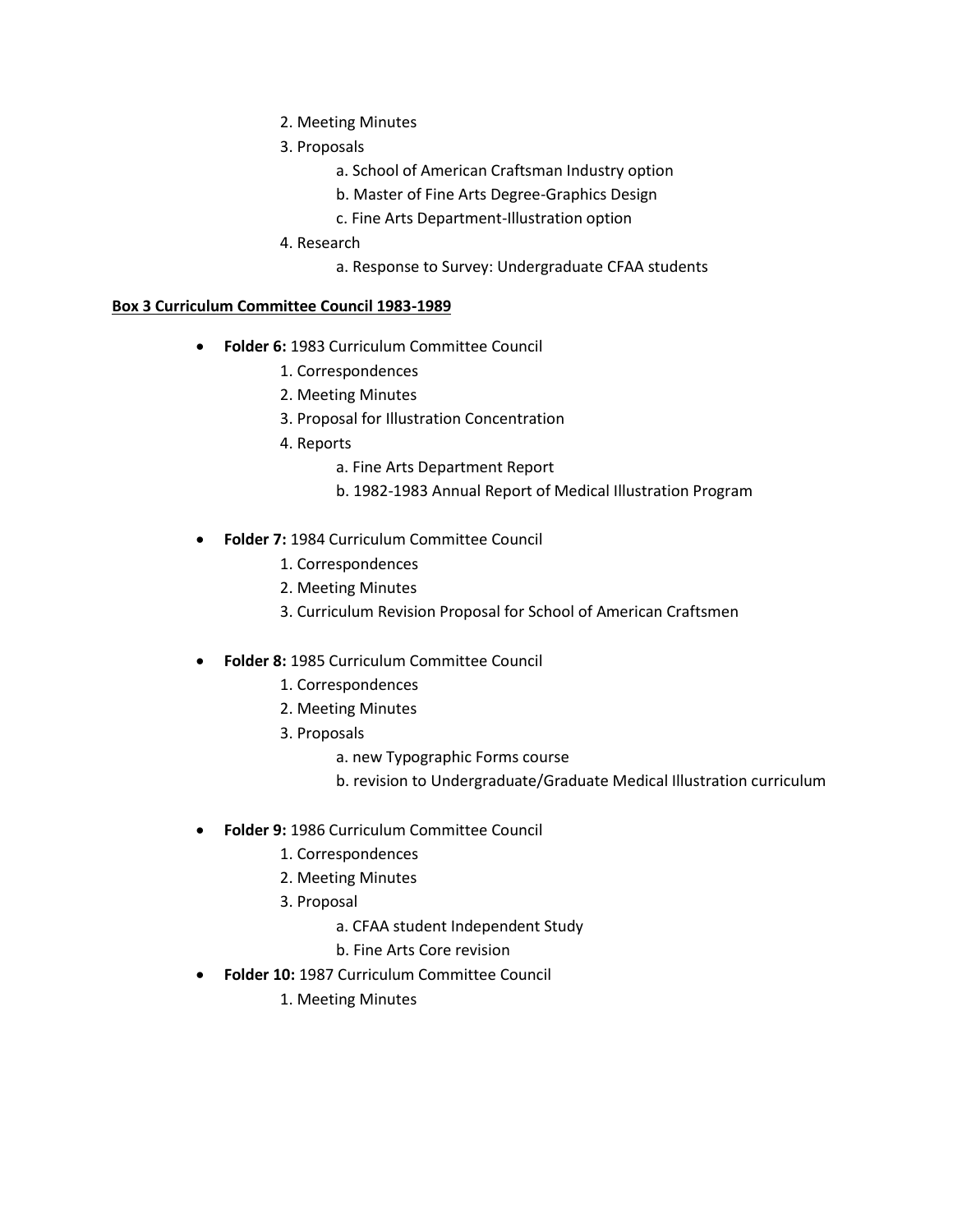- 2. Meeting Minutes
- 3. Proposals
	- a. School of American Craftsman Industry option
	- b. Master of Fine Arts Degree-Graphics Design
	- c. Fine Arts Department-Illustration option
- 4. Research
	- a. Response to Survey: Undergraduate CFAA students

#### **Box 3 Curriculum Committee Council 1983-1989**

- **Folder 6:** 1983 Curriculum Committee Council
	- 1. Correspondences
	- 2. Meeting Minutes
	- 3. Proposal for Illustration Concentration
	- 4. Reports
		- a. Fine Arts Department Report
		- b. 1982-1983 Annual Report of Medical Illustration Program
- **Folder 7:** 1984 Curriculum Committee Council
	- 1. Correspondences
	- 2. Meeting Minutes
	- 3. Curriculum Revision Proposal for School of American Craftsmen
- **Folder 8:** 1985 Curriculum Committee Council
	- 1. Correspondences
	- 2. Meeting Minutes
	- 3. Proposals
		- a. new Typographic Forms course
		- b. revision to Undergraduate/Graduate Medical Illustration curriculum
- **Folder 9:** 1986 Curriculum Committee Council
	- 1. Correspondences
	- 2. Meeting Minutes
	- 3. Proposal
		- a. CFAA student Independent Study
		- b. Fine Arts Core revision
- **Folder 10:** 1987 Curriculum Committee Council
	- 1. Meeting Minutes